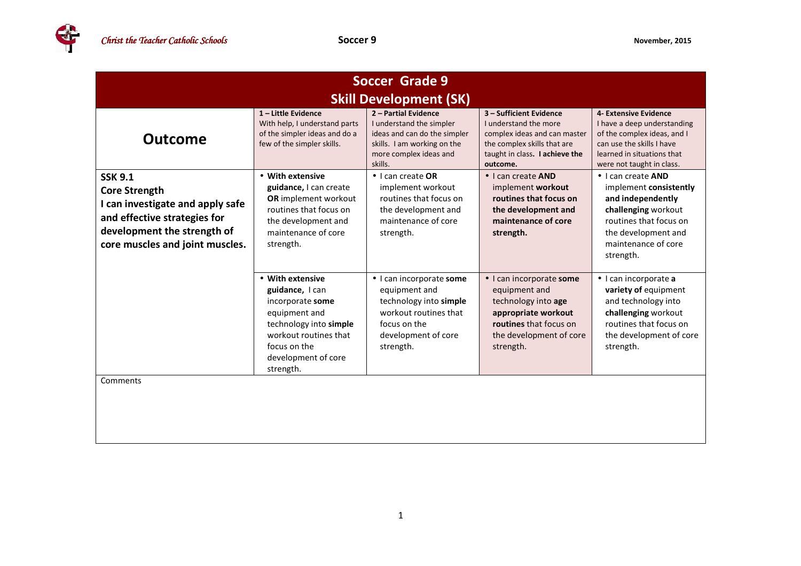G

| Soccer Grade 9                                                                                                                                                               |                                                                                                                                                                                 |                                                                                                                                                      |                                                                                                                                                               |                                                                                                                                                                               |  |
|------------------------------------------------------------------------------------------------------------------------------------------------------------------------------|---------------------------------------------------------------------------------------------------------------------------------------------------------------------------------|------------------------------------------------------------------------------------------------------------------------------------------------------|---------------------------------------------------------------------------------------------------------------------------------------------------------------|-------------------------------------------------------------------------------------------------------------------------------------------------------------------------------|--|
| <b>Skill Development (SK)</b>                                                                                                                                                |                                                                                                                                                                                 |                                                                                                                                                      |                                                                                                                                                               |                                                                                                                                                                               |  |
| <b>Outcome</b>                                                                                                                                                               | $1$ – Little Evidence<br>With help, I understand parts<br>of the simpler ideas and do a<br>few of the simpler skills.                                                           | 2 - Partial Evidence<br>I understand the simpler<br>ideas and can do the simpler<br>skills. I am working on the<br>more complex ideas and<br>skills. | 3 - Sufficient Evidence<br>I understand the more<br>complex ideas and can master<br>the complex skills that are<br>taught in class. I achieve the<br>outcome. | 4- Extensive Evidence<br>I have a deep understanding<br>of the complex ideas, and I<br>can use the skills I have<br>learned in situations that<br>were not taught in class.   |  |
| <b>SSK 9.1</b><br><b>Core Strength</b><br>I can investigate and apply safe<br>and effective strategies for<br>development the strength of<br>core muscles and joint muscles. | • With extensive<br>guidance, I can create<br>OR implement workout<br>routines that focus on<br>the development and<br>maintenance of core<br>strength.                         | $\bullet$ I can create OR<br>implement workout<br>routines that focus on<br>the development and<br>maintenance of core<br>strength.                  | • I can create AND<br>implement workout<br>routines that focus on<br>the development and<br>maintenance of core<br>strength.                                  | • I can create AND<br>implement consistently<br>and independently<br>challenging workout<br>routines that focus on<br>the development and<br>maintenance of core<br>strength. |  |
|                                                                                                                                                                              | • With extensive<br>guidance, I can<br>incorporate some<br>equipment and<br>technology into simple<br>workout routines that<br>focus on the<br>development of core<br>strength. | • I can incorporate some<br>equipment and<br>technology into simple<br>workout routines that<br>focus on the<br>development of core<br>strength.     | • I can incorporate some<br>equipment and<br>technology into age<br>appropriate workout<br>routines that focus on<br>the development of core<br>strength.     | · I can incorporate a<br>variety of equipment<br>and technology into<br>challenging workout<br>routines that focus on<br>the development of core<br>strength.                 |  |
| Comments                                                                                                                                                                     |                                                                                                                                                                                 |                                                                                                                                                      |                                                                                                                                                               |                                                                                                                                                                               |  |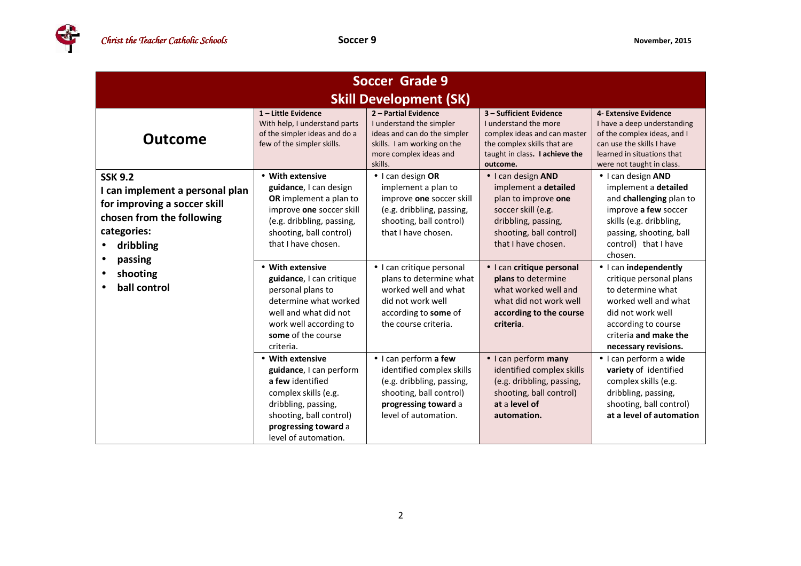4

| <b>Soccer Grade 9</b>                                                                                                                                                             |                                                                                                                                                                                                                                                                                                          |                                                                                                                                                                                                                                     |                                                                                                                                                                                                                                             |                                                                                                                                                                                                                                                                            |  |
|-----------------------------------------------------------------------------------------------------------------------------------------------------------------------------------|----------------------------------------------------------------------------------------------------------------------------------------------------------------------------------------------------------------------------------------------------------------------------------------------------------|-------------------------------------------------------------------------------------------------------------------------------------------------------------------------------------------------------------------------------------|---------------------------------------------------------------------------------------------------------------------------------------------------------------------------------------------------------------------------------------------|----------------------------------------------------------------------------------------------------------------------------------------------------------------------------------------------------------------------------------------------------------------------------|--|
| <b>Skill Development (SK)</b>                                                                                                                                                     |                                                                                                                                                                                                                                                                                                          |                                                                                                                                                                                                                                     |                                                                                                                                                                                                                                             |                                                                                                                                                                                                                                                                            |  |
| <b>Outcome</b>                                                                                                                                                                    | $1$ – Little Evidence<br>With help, I understand parts<br>of the simpler ideas and do a<br>few of the simpler skills.                                                                                                                                                                                    | 2 - Partial Evidence<br>I understand the simpler<br>ideas and can do the simpler<br>skills. I am working on the<br>more complex ideas and<br>skills.                                                                                | 3 - Sufficient Evidence<br>I understand the more<br>complex ideas and can master<br>the complex skills that are<br>taught in class. I achieve the<br>outcome.                                                                               | 4- Extensive Evidence<br>I have a deep understanding<br>of the complex ideas, and I<br>can use the skills I have<br>learned in situations that<br>were not taught in class.                                                                                                |  |
| <b>SSK 9.2</b><br>I can implement a personal plan<br>for improving a soccer skill<br>chosen from the following<br>categories:<br>dribbling<br>passing<br>shooting<br>ball control | • With extensive<br>guidance, I can design<br><b>OR</b> implement a plan to<br>improve one soccer skill<br>(e.g. dribbling, passing,<br>shooting, ball control)<br>that I have chosen.<br>• With extensive<br>guidance, I can critique<br>personal plans to                                              | · I can design OR<br>implement a plan to<br>improve one soccer skill<br>(e.g. dribbling, passing,<br>shooting, ball control)<br>that I have chosen.<br>• I can critique personal<br>plans to determine what<br>worked well and what | • I can design AND<br>implement a detailed<br>plan to improve one<br>soccer skill (e.g.<br>dribbling, passing,<br>shooting, ball control)<br>that I have chosen.<br>• I can critique personal<br>plans to determine<br>what worked well and | • I can design AND<br>implement a detailed<br>and challenging plan to<br>improve a few soccer<br>skills (e.g. dribbling,<br>passing, shooting, ball<br>control) that I have<br>chosen.<br>• I can independently<br>critique personal plans<br>to determine what            |  |
|                                                                                                                                                                                   | determine what worked<br>well and what did not<br>work well according to<br>some of the course<br>criteria.<br>• With extensive<br>guidance, I can perform<br>a few identified<br>complex skills (e.g.<br>dribbling, passing,<br>shooting, ball control)<br>progressing toward a<br>level of automation. | did not work well<br>according to some of<br>the course criteria.<br>· I can perform a few<br>identified complex skills<br>(e.g. dribbling, passing,<br>shooting, ball control)<br>progressing toward a<br>level of automation.     | what did not work well<br>according to the course<br>criteria.<br>• I can perform many<br>identified complex skills<br>(e.g. dribbling, passing,<br>shooting, ball control)<br>at a level of<br>automation.                                 | worked well and what<br>did not work well<br>according to course<br>criteria and make the<br>necessary revisions.<br>· I can perform a wide<br>variety of identified<br>complex skills (e.g.<br>dribbling, passing,<br>shooting, ball control)<br>at a level of automation |  |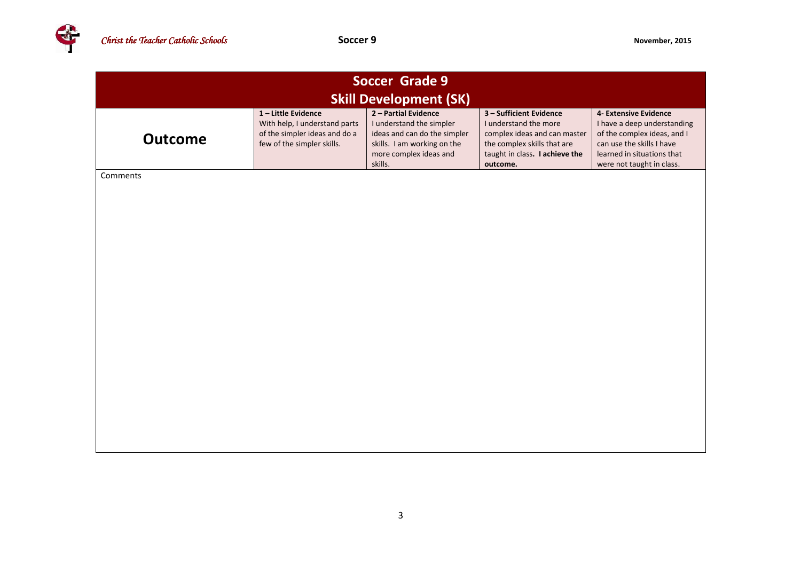

| <b>Soccer Grade 9</b><br><b>Skill Development (SK)</b> |                                                                                                                   |                                                                                                                                                      |                                                                                                                                                               |                                                                                                                                                                             |  |  |
|--------------------------------------------------------|-------------------------------------------------------------------------------------------------------------------|------------------------------------------------------------------------------------------------------------------------------------------------------|---------------------------------------------------------------------------------------------------------------------------------------------------------------|-----------------------------------------------------------------------------------------------------------------------------------------------------------------------------|--|--|
| <b>Outcome</b>                                         | 1-Little Evidence<br>With help, I understand parts<br>of the simpler ideas and do a<br>few of the simpler skills. | 2 - Partial Evidence<br>I understand the simpler<br>ideas and can do the simpler<br>skills. I am working on the<br>more complex ideas and<br>skills. | 3 - Sufficient Evidence<br>I understand the more<br>complex ideas and can master<br>the complex skills that are<br>taught in class. I achieve the<br>outcome. | 4- Extensive Evidence<br>I have a deep understanding<br>of the complex ideas, and I<br>can use the skills I have<br>learned in situations that<br>were not taught in class. |  |  |
| Comments                                               |                                                                                                                   |                                                                                                                                                      |                                                                                                                                                               |                                                                                                                                                                             |  |  |
|                                                        |                                                                                                                   |                                                                                                                                                      |                                                                                                                                                               |                                                                                                                                                                             |  |  |
|                                                        |                                                                                                                   |                                                                                                                                                      |                                                                                                                                                               |                                                                                                                                                                             |  |  |
|                                                        |                                                                                                                   |                                                                                                                                                      |                                                                                                                                                               |                                                                                                                                                                             |  |  |
|                                                        |                                                                                                                   |                                                                                                                                                      |                                                                                                                                                               |                                                                                                                                                                             |  |  |
|                                                        |                                                                                                                   |                                                                                                                                                      |                                                                                                                                                               |                                                                                                                                                                             |  |  |
|                                                        |                                                                                                                   |                                                                                                                                                      |                                                                                                                                                               |                                                                                                                                                                             |  |  |
|                                                        |                                                                                                                   |                                                                                                                                                      |                                                                                                                                                               |                                                                                                                                                                             |  |  |
|                                                        |                                                                                                                   |                                                                                                                                                      |                                                                                                                                                               |                                                                                                                                                                             |  |  |
|                                                        |                                                                                                                   |                                                                                                                                                      |                                                                                                                                                               |                                                                                                                                                                             |  |  |
|                                                        |                                                                                                                   |                                                                                                                                                      |                                                                                                                                                               |                                                                                                                                                                             |  |  |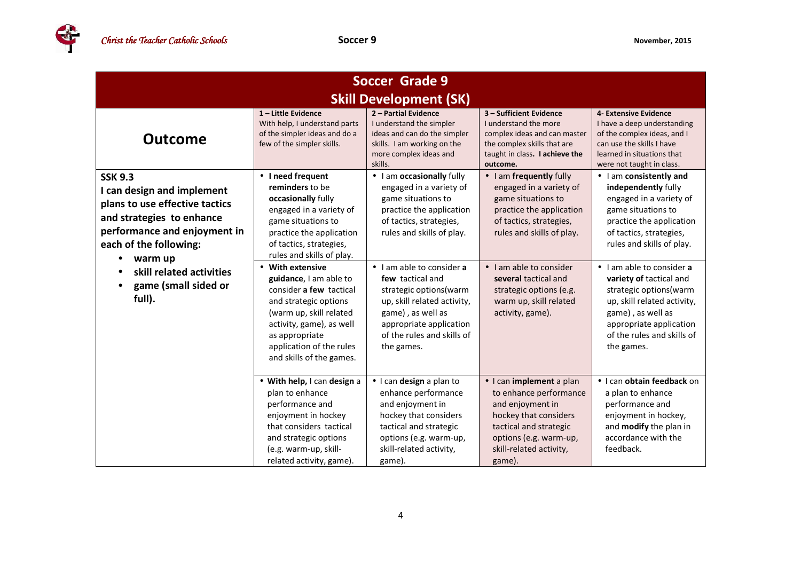4

| <b>Soccer Grade 9</b>                                                                                                                                                                                                                          |                                                                                                                                                                                                                                                                                                                                                                            |                                                                                                                                                                                                                                                                                                                                                         |                                                                                                                                                                                                                                                                                          |                                                                                                                                                                                                                                                                                                                                                                                     |  |  |
|------------------------------------------------------------------------------------------------------------------------------------------------------------------------------------------------------------------------------------------------|----------------------------------------------------------------------------------------------------------------------------------------------------------------------------------------------------------------------------------------------------------------------------------------------------------------------------------------------------------------------------|---------------------------------------------------------------------------------------------------------------------------------------------------------------------------------------------------------------------------------------------------------------------------------------------------------------------------------------------------------|------------------------------------------------------------------------------------------------------------------------------------------------------------------------------------------------------------------------------------------------------------------------------------------|-------------------------------------------------------------------------------------------------------------------------------------------------------------------------------------------------------------------------------------------------------------------------------------------------------------------------------------------------------------------------------------|--|--|
| <b>Skill Development (SK)</b>                                                                                                                                                                                                                  |                                                                                                                                                                                                                                                                                                                                                                            |                                                                                                                                                                                                                                                                                                                                                         |                                                                                                                                                                                                                                                                                          |                                                                                                                                                                                                                                                                                                                                                                                     |  |  |
| <b>Outcome</b>                                                                                                                                                                                                                                 | 1-Little Evidence<br>With help, I understand parts<br>of the simpler ideas and do a<br>few of the simpler skills.                                                                                                                                                                                                                                                          | 2 - Partial Evidence<br>I understand the simpler<br>ideas and can do the simpler<br>skills. I am working on the<br>more complex ideas and<br>skills.                                                                                                                                                                                                    | 3 - Sufficient Evidence<br>I understand the more<br>complex ideas and can master<br>the complex skills that are<br>taught in class. I achieve the<br>outcome.                                                                                                                            | 4- Extensive Evidence<br>I have a deep understanding<br>of the complex ideas, and I<br>can use the skills I have<br>learned in situations that<br>were not taught in class.                                                                                                                                                                                                         |  |  |
| <b>SSK 9.3</b><br>I can design and implement<br>plans to use effective tactics<br>and strategies to enhance<br>performance and enjoyment in<br>each of the following:<br>warm up<br>skill related activities<br>game (small sided or<br>full). | • I need frequent<br>reminders to be<br>occasionally fully<br>engaged in a variety of<br>game situations to<br>practice the application<br>of tactics, strategies,<br>rules and skills of play.<br>• With extensive<br>guidance, I am able to<br>consider a few tactical<br>and strategic options<br>(warm up, skill related<br>activity, game), as well<br>as appropriate | • I am occasionally fully<br>engaged in a variety of<br>game situations to<br>practice the application<br>of tactics, strategies,<br>rules and skills of play.<br>• I am able to consider a<br>few tactical and<br>strategic options (warm<br>up, skill related activity,<br>game), as well as<br>appropriate application<br>of the rules and skills of | • I am frequently fully<br>engaged in a variety of<br>game situations to<br>practice the application<br>of tactics, strategies,<br>rules and skills of play.<br>• I am able to consider<br>several tactical and<br>strategic options (e.g.<br>warm up, skill related<br>activity, game). | • I am consistently and<br>independently fully<br>engaged in a variety of<br>game situations to<br>practice the application<br>of tactics, strategies,<br>rules and skills of play.<br>• I am able to consider a<br>variety of tactical and<br>strategic options (warm<br>up, skill related activity,<br>game), as well as<br>appropriate application<br>of the rules and skills of |  |  |
|                                                                                                                                                                                                                                                | application of the rules<br>and skills of the games.<br>• With help, I can design a<br>plan to enhance<br>performance and<br>enjoyment in hockey<br>that considers tactical                                                                                                                                                                                                | the games.<br>• I can design a plan to<br>enhance performance<br>and enjoyment in<br>hockey that considers<br>tactical and strategic                                                                                                                                                                                                                    | · I can implement a plan<br>to enhance performance<br>and enjoyment in<br>hockey that considers<br>tactical and strategic                                                                                                                                                                | the games.<br>· I can obtain feedback on<br>a plan to enhance<br>performance and<br>enjoyment in hockey,<br>and modify the plan in                                                                                                                                                                                                                                                  |  |  |
|                                                                                                                                                                                                                                                | and strategic options<br>(e.g. warm-up, skill-<br>related activity, game).                                                                                                                                                                                                                                                                                                 | options (e.g. warm-up,<br>skill-related activity,<br>game).                                                                                                                                                                                                                                                                                             | options (e.g. warm-up,<br>skill-related activity,<br>game).                                                                                                                                                                                                                              | accordance with the<br>feedback.                                                                                                                                                                                                                                                                                                                                                    |  |  |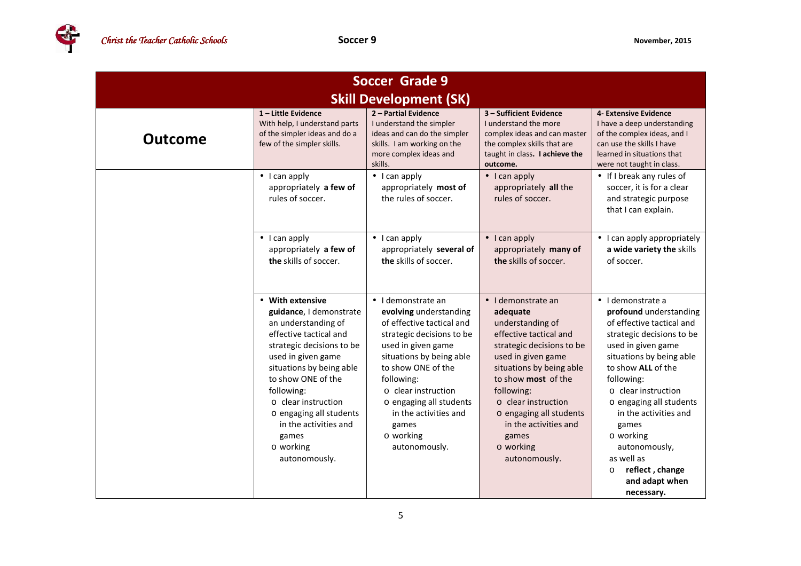

| <b>Soccer Grade 9</b>         |                                                                                                                                                                                                                                                                                                                                   |                                                                                                                                                                                                                                                                                                                |                                                                                                                                                                                                                                                                                                                            |                                                                                                                                                                                                                                                                                                                                                                                                         |  |
|-------------------------------|-----------------------------------------------------------------------------------------------------------------------------------------------------------------------------------------------------------------------------------------------------------------------------------------------------------------------------------|----------------------------------------------------------------------------------------------------------------------------------------------------------------------------------------------------------------------------------------------------------------------------------------------------------------|----------------------------------------------------------------------------------------------------------------------------------------------------------------------------------------------------------------------------------------------------------------------------------------------------------------------------|---------------------------------------------------------------------------------------------------------------------------------------------------------------------------------------------------------------------------------------------------------------------------------------------------------------------------------------------------------------------------------------------------------|--|
| <b>Skill Development (SK)</b> |                                                                                                                                                                                                                                                                                                                                   |                                                                                                                                                                                                                                                                                                                |                                                                                                                                                                                                                                                                                                                            |                                                                                                                                                                                                                                                                                                                                                                                                         |  |
| <b>Outcome</b>                | $1$ – Little Evidence<br>With help, I understand parts<br>of the simpler ideas and do a<br>few of the simpler skills.                                                                                                                                                                                                             | 2 - Partial Evidence<br>I understand the simpler<br>ideas and can do the simpler<br>skills. I am working on the<br>more complex ideas and<br>skills.                                                                                                                                                           | 3 - Sufficient Evidence<br>I understand the more<br>complex ideas and can master<br>the complex skills that are<br>taught in class. I achieve the<br>outcome.                                                                                                                                                              | 4- Extensive Evidence<br>I have a deep understanding<br>of the complex ideas, and I<br>can use the skills I have<br>learned in situations that<br>were not taught in class.                                                                                                                                                                                                                             |  |
|                               | $\bullet$ I can apply<br>appropriately a few of<br>rules of soccer.                                                                                                                                                                                                                                                               | $\bullet$ I can apply<br>appropriately most of<br>the rules of soccer.                                                                                                                                                                                                                                         | $\bullet$ I can apply<br>appropriately all the<br>rules of soccer.                                                                                                                                                                                                                                                         | • If I break any rules of<br>soccer, it is for a clear<br>and strategic purpose<br>that I can explain.                                                                                                                                                                                                                                                                                                  |  |
|                               | $\bullet$ I can apply<br>appropriately a few of<br>the skills of soccer.                                                                                                                                                                                                                                                          | $\bullet$ I can apply<br>appropriately several of<br>the skills of soccer.                                                                                                                                                                                                                                     | $\bullet$ I can apply<br>appropriately many of<br>the skills of soccer.                                                                                                                                                                                                                                                    | • I can apply appropriately<br>a wide variety the skills<br>of soccer.                                                                                                                                                                                                                                                                                                                                  |  |
|                               | • With extensive<br>guidance, I demonstrate<br>an understanding of<br>effective tactical and<br>strategic decisions to be<br>used in given game<br>situations by being able<br>to show ONE of the<br>following:<br>o clear instruction<br>o engaging all students<br>in the activities and<br>games<br>o working<br>autonomously. | • I demonstrate an<br>evolving understanding<br>of effective tactical and<br>strategic decisions to be<br>used in given game<br>situations by being able<br>to show ONE of the<br>following:<br>o clear instruction<br>o engaging all students<br>in the activities and<br>games<br>o working<br>autonomously. | $\bullet$ I demonstrate an<br>adequate<br>understanding of<br>effective tactical and<br>strategic decisions to be<br>used in given game<br>situations by being able<br>to show most of the<br>following:<br>o clear instruction<br>o engaging all students<br>in the activities and<br>games<br>o working<br>autonomously. | $\bullet$ I demonstrate a<br>profound understanding<br>of effective tactical and<br>strategic decisions to be<br>used in given game<br>situations by being able<br>to show ALL of the<br>following:<br>$\circ$ clear instruction<br>o engaging all students<br>in the activities and<br>games<br>o working<br>autonomously,<br>as well as<br>reflect, change<br>$\circ$<br>and adapt when<br>necessary. |  |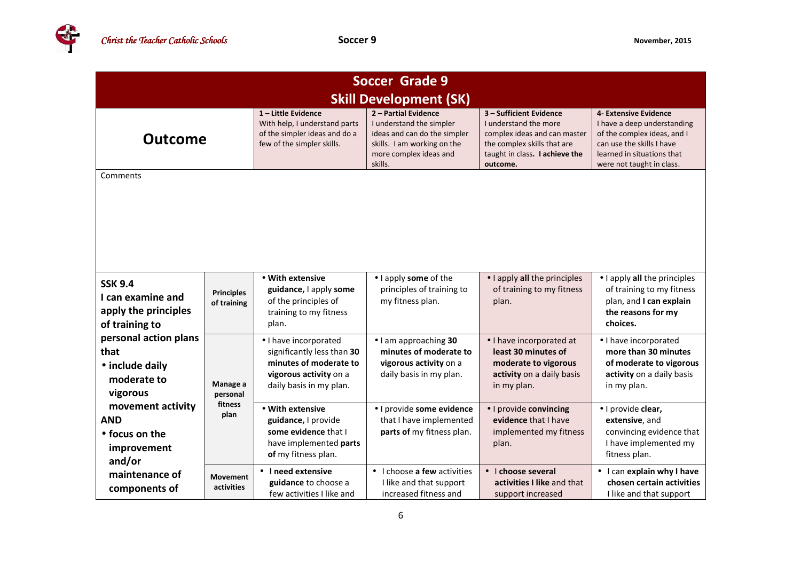

| <b>Soccer Grade 9</b><br><b>Skill Development (SK)</b>                        |                                         |                                                                                                                                    |                                                                                                                                                      |                                                                                                                                                               |                                                                                                                                                                             |
|-------------------------------------------------------------------------------|-----------------------------------------|------------------------------------------------------------------------------------------------------------------------------------|------------------------------------------------------------------------------------------------------------------------------------------------------|---------------------------------------------------------------------------------------------------------------------------------------------------------------|-----------------------------------------------------------------------------------------------------------------------------------------------------------------------------|
| <b>Outcome</b>                                                                |                                         | 1-Little Evidence<br>With help, I understand parts<br>of the simpler ideas and do a<br>few of the simpler skills.                  | 2 - Partial Evidence<br>I understand the simpler<br>ideas and can do the simpler<br>skills. I am working on the<br>more complex ideas and<br>skills. | 3 - Sufficient Evidence<br>I understand the more<br>complex ideas and can master<br>the complex skills that are<br>taught in class. I achieve the<br>outcome. | 4- Extensive Evidence<br>I have a deep understanding<br>of the complex ideas, and I<br>can use the skills I have<br>learned in situations that<br>were not taught in class. |
| Comments                                                                      |                                         |                                                                                                                                    |                                                                                                                                                      |                                                                                                                                                               |                                                                                                                                                                             |
| <b>SSK 9.4</b><br>I can examine and<br>apply the principles<br>of training to | <b>Principles</b><br>of training        | • With extensive<br>guidance, I apply some<br>of the principles of<br>training to my fitness<br>plan.                              | • I apply some of the<br>principles of training to<br>my fitness plan.                                                                               | • I apply all the principles<br>of training to my fitness<br>plan.                                                                                            | • I apply all the principles<br>of training to my fitness<br>plan, and I can explain<br>the reasons for my<br>choices.                                                      |
| personal action plans<br>that<br>• include daily<br>moderate to<br>vigorous   | Manage a<br>personal<br>fitness<br>plan | · I have incorporated<br>significantly less than 30<br>minutes of moderate to<br>vigorous activity on a<br>daily basis in my plan. | • I am approaching 30<br>minutes of moderate to<br>vigorous activity on a<br>daily basis in my plan.                                                 | • I have incorporated at<br>least 30 minutes of<br>moderate to vigorous<br>activity on a daily basis<br>in my plan.                                           | · I have incorporated<br>more than 30 minutes<br>of moderate to vigorous<br>activity on a daily basis<br>in my plan.                                                        |
| movement activity<br><b>AND</b><br>• focus on the<br>improvement<br>and/or    |                                         | • With extensive<br>guidance, I provide<br>some evidence that I<br>have implemented parts<br>of my fitness plan.                   | · I provide some evidence<br>that I have implemented<br>parts of my fitness plan.                                                                    | · I provide convincing<br>evidence that I have<br>implemented my fitness<br>plan.                                                                             | · I provide clear,<br>extensive, and<br>convincing evidence that<br>I have implemented my<br>fitness plan.                                                                  |
| maintenance of<br>components of                                               | <b>Movement</b><br>activities           | • I need extensive<br>guidance to choose a<br>few activities I like and                                                            | • I choose a few activities<br>I like and that support<br>increased fitness and                                                                      | • I choose several<br>activities I like and that<br>support increased                                                                                         | • I can explain why I have<br>chosen certain activities<br>I like and that support                                                                                          |